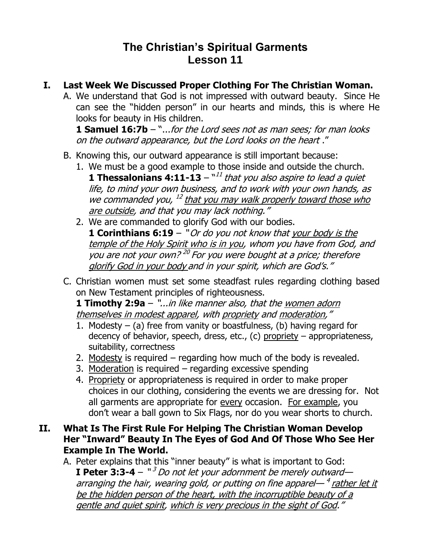## **The Christian's Spiritual Garments Lesson 11**

- **I. Last Week We Discussed Proper Clothing For The Christian Woman.**
	- A. We understand that God is not impressed with outward beauty. Since He can see the "hidden person" in our hearts and minds, this is where He looks for beauty in His children.

**1 Samuel 16:7b** – "...for the Lord sees not as man sees; for man looks on the outward appearance, but the Lord looks on the heart ."

- B. Knowing this, our outward appearance is still important because:
	- 1. We must be a good example to those inside and outside the church. **1 Thessalonians 4:11-13**  $-\frac{1}{1}$  that you also aspire to lead a quiet life, to mind your own business, and to work with your own hands, as we commanded you, <sup>12</sup> that you may walk properly toward those who are outside, and that you may lack nothing."
	- 2. We are commanded to glorify God with our bodies. **1 Corinthians 6:19** – "Or do you not know that your body is the temple of the Holy Spirit who is in you, whom you have from God, and you are not your own?<sup>20</sup> For you were bought at a price; therefore glorify God in your body and in your spirit, which are God's."
- C. Christian women must set some steadfast rules regarding clothing based on New Testament principles of righteousness.

**1 Timothy 2:9a** – "...in like manner also, that the women adorn themselves in modest apparel, with propriety and moderation,"

- 1. Modesty  $-$  (a) free from vanity or boastfulness, (b) having regard for decency of behavior, speech, dress, etc., (c) propriety – appropriateness, suitability, correctness
- 2. Modesty is required regarding how much of the body is revealed.
- 3. Moderation is required regarding excessive spending
- 4. Propriety or appropriateness is required in order to make proper choices in our clothing, considering the events we are dressing for. Not all garments are appropriate for every occasion. For example, you don't wear a ball gown to Six Flags, nor do you wear shorts to church.
- **II. What Is The First Rule For Helping The Christian Woman Develop Her "Inward" Beauty In The Eyes of God And Of Those Who See Her Example In The World.**
	- A. Peter explains that this "inner beauty" is what is important to God: **I Peter 3:3-4** – "<sup>3</sup> Do not let your adornment be merely outward arranging the hair, wearing gold, or putting on fine apparel—<sup>4</sup> rather let it be the hidden person of the heart, with the incorruptible beauty of a gentle and quiet spirit, which is very precious in the sight of God."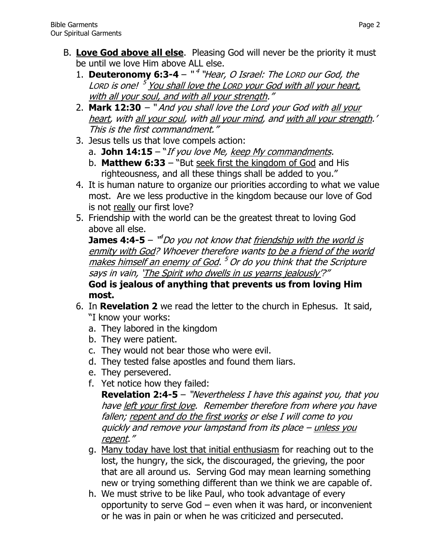- B. **Love God above all else**. Pleasing God will never be the priority it must be until we love Him above ALL else.
	- 1. **Deuteronomy 6:3-4**  " 4 "Hear, O Israel: The LORD our God, the Lorp is one! <sup>5</sup> You shall love the Lorp your God with all your heart, with all your soul, and with all your strength."
	- 2. **[Mark 12:30](http://www.biblegateway.com/passage/?search=Mark+12:30&version=NKJV)** " And you shall love the Lord your God with all your heart, with all your soul, with all your mind, and with all your strength.' This is the first commandment."
	- 3. Jesus tells us that love compels action:
		- a. **John 14:15** "If you love Me, keep My commandments.
		- b. **Matthew 6:33** "But seek first the kingdom of God and His righteousness, and all these things shall be added to you."
	- 4. It is human nature to organize our priorities according to what we value most. Are we less productive in the kingdom because our love of God is not really our first love?
	- 5. Friendship with the world can be the greatest threat to loving God above all else.

**James 4:4-5** – <sup>14</sup>Do you not know that <u>friendship with the world is</u> enmity with God? Whoever therefore wants to be a friend of the world <u>makes himself an enemy of God</u>. <sup>5</sup> Or do you think that the Scripture says in vain, 'The Spirit who dwells in us yearns jealously'?"

**God is jealous of anything that prevents us from loving Him most.**

- 6. In **Revelation 2** we read the letter to the church in Ephesus. It said, "I know your works:
	- a. They labored in the kingdom
	- b. They were patient.
	- c. They would not bear those who were evil.
	- d. They tested false apostles and found them liars.
	- e. They persevered.
	- f. Yet notice how they failed:

**Revelation 2:4-5** – "Nevertheless I have this against you, that you have left your first love. Remember therefore from where you have fallen; repent and do the first works or else I will come to you quickly and remove your lampstand from its place – unless you repent."

- g. Many today have lost that initial enthusiasm for reaching out to the lost, the hungry, the sick, the discouraged, the grieving, the poor that are all around us. Serving God may mean learning something new or trying something different than we think we are capable of.
- h. We must strive to be like Paul, who took advantage of every opportunity to serve God – even when it was hard, or inconvenient or he was in pain or when he was criticized and persecuted.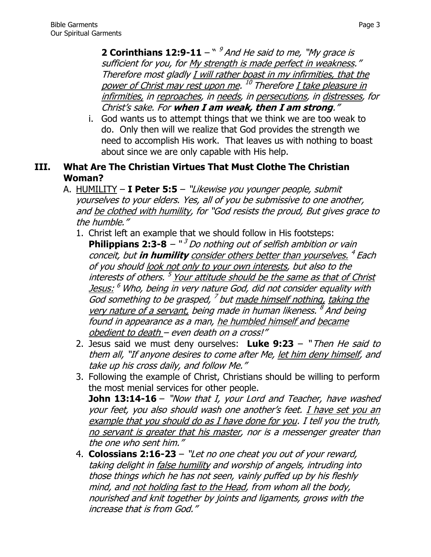**2 Corinthians 12:9-11**  $-$  "  $\frac{9}{3}$  And He said to me, "My grace is sufficient for you, for My strength is made perfect in weakness." Therefore most gladly I will rather boast in my infirmities, that the power of Christ may rest upon me. <sup>10</sup> Therefore <u>I take pleasure in</u> infirmities, in reproaches, in needs, in persecutions, in distresses, for Christ's sake. For **when I am weak, then I am strong**."

i. God wants us to attempt things that we think we are too weak to do. Only then will we realize that God provides the strength we need to accomplish His work. That leaves us with nothing to boast about since we are only capable with His help.

## **III. What Are The Christian Virtues That Must Clothe The Christian Woman?**

- A. HUMILITY **I Peter 5:5** "Likewise you younger people, submit yourselves to your elders. Yes, all of you be submissive to one another, and be clothed with humility, for "God resists the proud, But gives grace to the humble."
	- 1. Christ left an example that we should follow in His footsteps: **Philippians 2:3-8**  $\sqrt{3}$  *Do nothing out of selfish ambition or vain* conceit, but **in humility** consider others better than yourselves. 4 Each of you should look not only to your own interests, but also to the interests of others. <sup>5</sup> Your attitude should be the same as that of Christ <u>Jesus:</u> <sup>6</sup> Who, being in very nature God, did not consider equality with God something to be grasped, <sup>7</sup> but <u>made himself nothing, taking the</u> very nature of a servant, being made in human likeness. <sup>8</sup> And being found in appearance as a man, he humbled himself and became obedient to death – even death on a cross!"
	- 2. Jesus said we must deny ourselves: **Luke 9:23** " Then He said to them all, "If anyone desires to come after Me, let him deny himself, and take up his cross daily, and follow Me."
	- 3. Following the example of Christ, Christians should be willing to perform the most menial services for other people. **John 13:14-16** – "Now that I, your Lord and Teacher, have washed your feet, you also should wash one another's feet. I have set you an example that you should do as I have done for you. I tell you the truth, no servant is greater that his master, nor is a messenger greater than the one who sent him."
	- 4. **Colossians 2:16-23** "Let no one cheat you out of your reward, taking delight in false humility and worship of angels, intruding into those things which he has not seen, vainly puffed up by his fleshly mind, and not holding fast to the Head, from whom all the body, nourished and knit together by joints and ligaments, grows with the increase that is from God."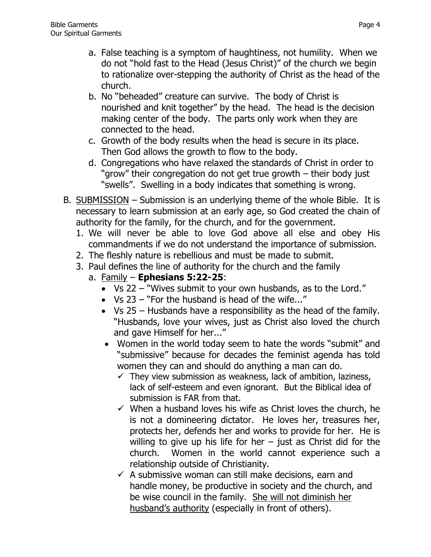- a. False teaching is a symptom of haughtiness, not humility. When we do not "hold fast to the Head (Jesus Christ)" of the church we begin to rationalize over-stepping the authority of Christ as the head of the church.
- b. No "beheaded" creature can survive. The body of Christ is nourished and knit together" by the head. The head is the decision making center of the body. The parts only work when they are connected to the head.
- c. Growth of the body results when the head is secure in its place. Then God allows the growth to flow to the body.
- d. Congregations who have relaxed the standards of Christ in order to "grow" their congregation do not get true growth – their body just "swells". Swelling in a body indicates that something is wrong.
- B. SUBMISSION Submission is an underlying theme of the whole Bible. It is necessary to learn submission at an early age, so God created the chain of authority for the family, for the church, and for the government.
	- 1. We will never be able to love God above all else and obey His commandments if we do not understand the importance of submission.
	- 2. The fleshly nature is rebellious and must be made to submit.
	- 3. Paul defines the line of authority for the church and the family
		- a. Family **Ephesians 5:22-25**:
			- Vs 22 "Wives submit to your own husbands, as to the Lord."
			- Vs 23 "For the husband is head of the wife..."
			- Vs 25 Husbands have a responsibility as the head of the family. "Husbands, love your wives, just as Christ also loved the church and gave Himself for her..."
			- Women in the world today seem to hate the words "submit" and "submissive" because for decades the feminist agenda has told women they can and should do anything a man can do.
				- $\checkmark$  They view submission as weakness, lack of ambition, laziness, lack of self-esteem and even ignorant. But the Biblical idea of submission is FAR from that.
				- $\checkmark$  When a husband loves his wife as Christ loves the church, he is not a domineering dictator. He loves her, treasures her, protects her, defends her and works to provide for her. He is willing to give up his life for her  $-$  just as Christ did for the church. Women in the world cannot experience such a relationship outside of Christianity.
				- $\checkmark$  A submissive woman can still make decisions, earn and handle money, be productive in society and the church, and be wise council in the family. She will not diminish her husband's authority (especially in front of others).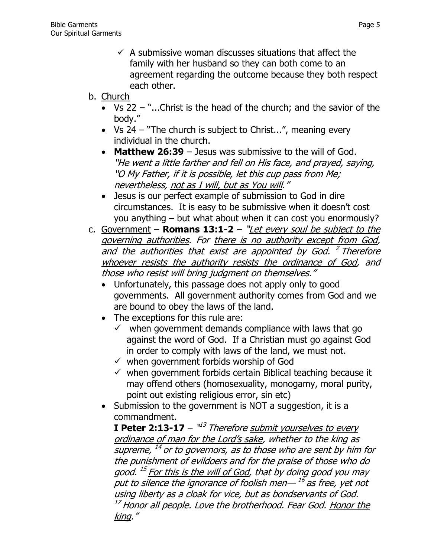- $\checkmark$  A submissive woman discusses situations that affect the family with her husband so they can both come to an agreement regarding the outcome because they both respect each other.
- b. Church
	- Vs 22 "...Christ is the head of the church; and the savior of the body."
	- Vs 24 "The church is subject to Christ...", meaning every individual in the church.
	- **Matthew 26:39** Jesus was submissive to the will of God. "He went a little farther and fell on His face, and prayed, saying, "O My Father, if it is possible, let this cup pass from Me; nevertheless, not as I will, but as You will."
	- Jesus is our perfect example of submission to God in dire circumstances. It is easy to be submissive when it doesn't cost you anything – but what about when it can cost you enormously?
- c. Government **Romans 13:1-2** "Let every soul be subject to the governing authorities. For there is no authority except from God, and the authorities that exist are appointed by God. <sup>2</sup> Therefore whoever resists the authority resists the ordinance of God, and those who resist will bring judgment on themselves."
	- Unfortunately, this passage does not apply only to good governments. All government authority comes from God and we are bound to obey the laws of the land.
	- The exceptions for this rule are:
		- $\checkmark$  when government demands compliance with laws that go against the word of God. If a Christian must go against God in order to comply with laws of the land, we must not.
		- $\checkmark$  when government forbids worship of God
		- $\checkmark$  when government forbids certain Biblical teaching because it may offend others (homosexuality, monogamy, moral purity, point out existing religious error, sin etc)
	- Submission to the government is NOT a suggestion, it is a commandment.

**I Peter 2:13-17** – "<sup>13</sup> Therefore <u>submit yourselves to every</u> ordinance of man for the Lord's sake, whether to the king as supreme,  $^{\rm 14}$  or to governors, as to those who are sent by him for the punishment of evildoers and for the praise of those who do good. <sup>15</sup> For this is the will of God, that by doing good you may put to silence the ignorance of foolish men— <sup>16</sup> as free, yet not using liberty as a cloak for vice, but as bondservants of God.  $^{17}$  Honor all people. Love the brotherhood. Fear God. Honor the king."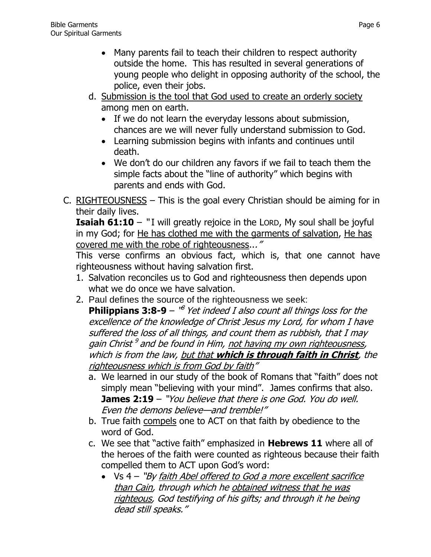- Many parents fail to teach their children to respect authority outside the home. This has resulted in several generations of young people who delight in opposing authority of the school, the police, even their jobs.
- d. Submission is the tool that God used to create an orderly society among men on earth.
	- If we do not learn the everyday lessons about submission, chances are we will never fully understand submission to God.
	- Learning submission begins with infants and continues until death.
	- We don't do our children any favors if we fail to teach them the simple facts about the "line of authority" which begins with parents and ends with God.
- C. RIGHTEOUSNESS This is the goal every Christian should be aiming for in their daily lives.

**Isaiah 61:10** – "I will greatly rejoice in the LORD, My soul shall be joyful in my God; for He has clothed me with the garments of salvation, He has covered me with the robe of righteousness..."

This verse confirms an obvious fact, which is, that one cannot have righteousness without having salvation first.

- 1. Salvation reconciles us to God and righteousness then depends upon what we do once we have salvation.
- 2. Paul defines the source of the righteousness we seek:

**Philippians 3:8-9** – <sup>18</sup> Yet indeed I also count all things loss for the excellence of the knowledge of Christ Jesus my Lord, for whom I have suffered the loss of all things, and count them as rubbish, that I may gain Christ<sup>9</sup> and be found in Him, not having my own righteousness, which is from the law, but that which is through faith in Christ, the righteousness which is from God by faith"

- a. We learned in our study of the book of Romans that "faith" does not simply mean "believing with your mind". James confirms that also. **James 2:19** – "You believe that there is one God. You do well. Even the demons believe—and tremble!"
- b. True faith compels one to ACT on that faith by obedience to the word of God.
- c. We see that "active faith" emphasized in **Hebrews 11** where all of the heroes of the faith were counted as righteous because their faith compelled them to ACT upon God's word:
	- Vs 4 "By faith Abel offered to God a more excellent sacrifice than Cain, through which he obtained witness that he was righteous, God testifying of his gifts; and through it he being dead still speaks."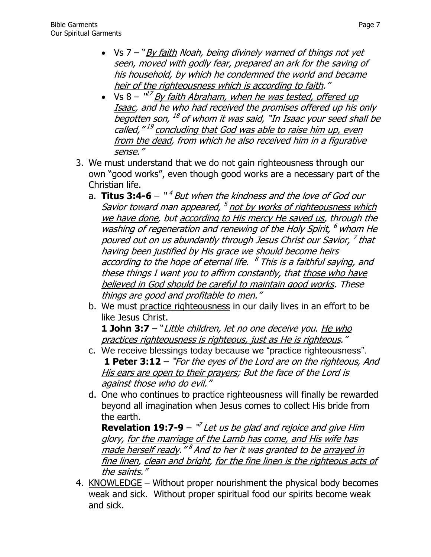- $Vs 7 "By faith Noah, being divisible by warned of things not yet$ seen, moved with godly fear, prepared an ark for the saving of his household, by which he condemned the world and became heir of the righteousness which is according to faith."
- Vs 8 "<sup>17</sup> By faith Abraham, when he was tested, offered up Isaac, and he who had received the promises offered up his only begotten son, <sup>18</sup> of whom it was said, "In Isaac your seed shall be called,"<sup>19</sup> concluding that God was able to raise him up, even from the dead, from which he also received him in a figurative sense."
- 3. We must understand that we do not gain righteousness through our own "good works", even though good works are a necessary part of the Christian life.
	- a. **Titus 3:4-6** "*<sup>4</sup> But when the kindness and the love of God our* Savior toward man appeared, <sup>5</sup> not by works of righteousness which we have done, but according to His mercy He saved us, through the washing of regeneration and renewing of the Holy Spirit, <sup>6</sup> whom He poured out on us abundantly through Jesus Christ our Savior, <sup>7</sup> that having been justified by His grace we should become heirs according to the hope of eternal life. <sup>8</sup> This is a faithful saying, and these things I want you to affirm constantly, that those who have believed in God should be careful to maintain good works. These things are good and profitable to men."
	- b. We must practice righteousness in our daily lives in an effort to be like Jesus Christ.

**[1 John 3:7](http://www.biblegateway.com/passage/?search=1%20John+3:7&version=NKJV)** – "Little children, let no one deceive you. He who practices righteousness is righteous, just as He is righteous."

- c. We receive blessings today because we "practice righteousness". **[1 Peter 3:12](http://www.biblegateway.com/passage/?search=1%20Peter+3:12&version=NKJV)** – "For the eyes of the Lord are on the righteous, And His ears are open to their prayers; But the face of the Lord is against those who do evil."
- d. One who continues to practice righteousness will finally be rewarded beyond all imagination when Jesus comes to collect His bride from the earth.

**Revelation 19:7-9**  $\sqrt[n]{}$  *Let us be glad and rejoice and give Him* glory, for the marriage of the Lamb has come, and His wife has <u>made herself ready</u>." <sup>8</sup> And to her it was granted to be <u>arrayed in</u> fine linen, clean and bright, for the fine linen is the righteous acts of the saints."

4. KNOWLEDGE – Without proper nourishment the physical body becomes weak and sick. Without proper spiritual food our spirits become weak and sick.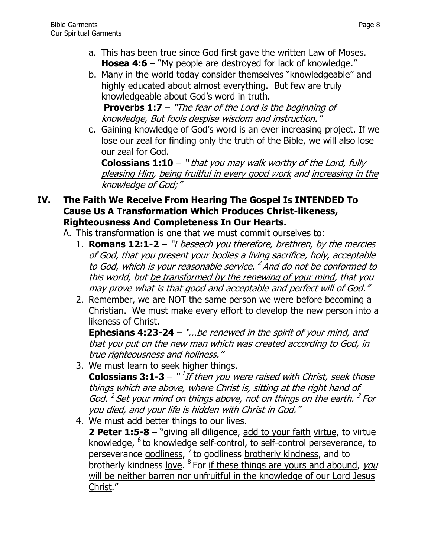- a. This has been true since God first gave the written Law of Moses. **[Hosea 4:6](http://www.biblegateway.com/passage/?search=Hosea+4:6&version=NKJV)** – "My people are destroyed for lack of knowledge."
- b. Many in the world today consider themselves "knowledgeable" and highly educated about almost everything. But few are truly knowledgeable about God's word in truth.

**[Proverbs 1:7](http://www.biblegateway.com/passage/?search=Proverbs+1:7&version=NKJV)** – "The fear of the Lord is the beginning of knowledge, But fools despise wisdom and instruction."

c. Gaining knowledge of God's word is an ever increasing project. If we lose our zeal for finding only the truth of the Bible, we will also lose our zeal for God.

**Colossians 1:10** – " that you may walk worthy of the Lord, fully pleasing Him, being fruitful in every good work and increasing in the knowledge of God;"

## **IV. The Faith We Receive From Hearing The Gospel Is INTENDED To Cause Us A Transformation Which Produces Christ-likeness, Righteousness And Completeness In Our Hearts.**

- A. This transformation is one that we must commit ourselves to:
	- 1. **Romans 12:1-2** "I beseech you therefore, brethren, by the mercies of God, that you present your bodies a living sacrifice, holy, acceptable to God, which is your reasonable service. <sup>2</sup> And do not be conformed to this world, but be transformed by the renewing of your mind, that you may prove what is that good and acceptable and perfect will of God."
	- 2. Remember, we are NOT the same person we were before becoming a Christian. We must make every effort to develop the new person into a likeness of Christ.

**Ephesians 4:23-24** – "...be renewed in the spirit of your mind, and that you put on the new man which was created according to God, in true righteousness and holiness."

- 3. We must learn to seek higher things. **Colossians 3:1-3** – "<sup>1</sup>If then you were raised with Christ, seek those things which are above, where Christ is, sitting at the right hand of God. <sup>2</sup> Set your mind on things above, not on things on the earth. <sup>3</sup> For you died, and your life is hidden with Christ in God."
- 4. We must add better things to our lives. **2 Peter 1:5-8** – "giving all diligence, add to your faith virtue, to virtue knowledge, <sup>6</sup> to knowledge self-control, to self-control <u>perseverance</u>, to perseverance godliness, <sup>7</sup> to godliness brotherly kindness, and to brotherly kindness love. <sup>8</sup> For if these things are yours and abound, you will be neither barren nor unfruitful in the knowledge of our Lord Jesus Christ."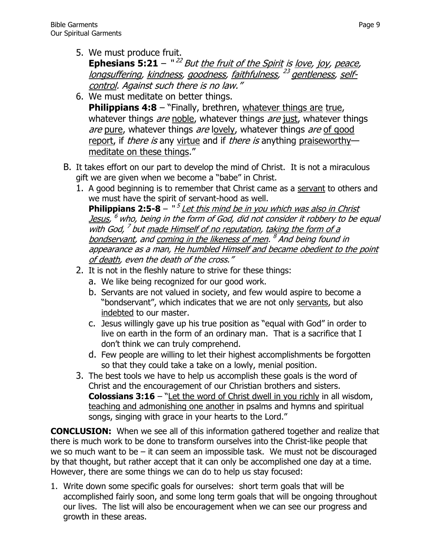5. We must produce fruit.

**Ephesians 5:21** – "<sup>22</sup> But <u>the fruit of the Spirit</u> is <u>love</u>, joy, peace, longsuffering, <u>kindness</u>, goodness, faithfulness, <sup>23</sup> gentleness, selfcontrol. Against such there is no law."

- 6. We must meditate on better things. **Philippians 4:8** – "Finally, brethren, whatever things are true, whatever things are noble, whatever things are just, whatever things are pure, whatever things are lovely, whatever things are of good report, if *there is* any virtue and if *there is* anything praiseworthy meditate on these things."
- B. It takes effort on our part to develop the mind of Christ. It is not a miraculous gift we are given when we become a "babe" in Christ.
	- 1. A good beginning is to remember that Christ came as a servant to others and we must have the spirit of servant-hood as well. **Philippians 2:5-8** – "<sup>5</sup> Let this mind be in you which was also in Christ <u>Jesus</u>, <sup>6</sup> who, being in the form of God, did not consider it robbery to be equal with God,<sup>7</sup> but made Himself of no reputation, taking the form of a bondservant, and <u>coming in the likeness of men</u>. <sup>8</sup> And being found in appearance as a man, He humbled Himself and became obedient to the point of death, even the death of the cross."
	- 2. It is not in the fleshly nature to strive for these things:
		- a. We like being recognized for our good work.
		- b. Servants are not valued in society, and few would aspire to become a "bondservant", which indicates that we are not only servants, but also indebted to our master.
		- c. Jesus willingly gave up his true position as "equal with God" in order to live on earth in the form of an ordinary man. That is a sacrifice that I don't think we can truly comprehend.
		- d. Few people are willing to let their highest accomplishments be forgotten so that they could take a take on a lowly, menial position.
	- 3. The best tools we have to help us accomplish these goals is the word of Christ and the encouragement of our Christian brothers and sisters. **[Colossians 3:16](http://www.biblegateway.com/passage/?search=Colossians+3:16&version=NKJV)** – "Let the word of Christ dwell in you richly in all wisdom, teaching and admonishing one another in psalms and hymns and spiritual songs, singing with grace in your hearts to the Lord."

**CONCLUSION:** When we see all of this information gathered together and realize that there is much work to be done to transform ourselves into the Christ-like people that we so much want to be – it can seem an impossible task. We must not be discouraged by that thought, but rather accept that it can only be accomplished one day at a time. However, there are some things we can do to help us stay focused:

1. Write down some specific goals for ourselves: short term goals that will be accomplished fairly soon, and some long term goals that will be ongoing throughout our lives. The list will also be encouragement when we can see our progress and growth in these areas.